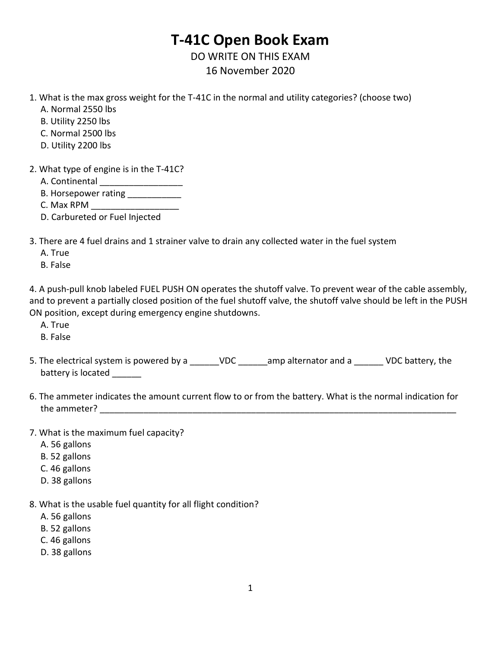## **T-41C Open Book Exam**

DO WRITE ON THIS EXAM 16 November 2020

- 1. What is the max gross weight for the T-41C in the normal and utility categories? (choose two)
	- A. Normal 2550 lbs
	- B. Utility 2250 lbs
	- C. Normal 2500 lbs
	- D. Utility 2200 lbs
- 2. What type of engine is in the T-41C?
	- A. Continental
	- B. Horsepower rating
	- C. Max RPM
	- D. Carbureted or Fuel Injected
- 3. There are 4 fuel drains and 1 strainer valve to drain any collected water in the fuel system
	- A. True
	- B. False

4. A push-pull knob labeled FUEL PUSH ON operates the shutoff valve. To prevent wear of the cable assembly, and to prevent a partially closed position of the fuel shutoff valve, the shutoff valve should be left in the PUSH ON position, except during emergency engine shutdowns.

- A. True
- B. False
- 5. The electrical system is powered by a z available value amp alternator and a z vDC battery, the battery is located
- 6. The ammeter indicates the amount current flow to or from the battery. What is the normal indication for the ammeter? The structure of  $\sim$
- 7. What is the maximum fuel capacity?
	- A. 56 gallons
	- B. 52 gallons
	- C. 46 gallons
	- D. 38 gallons
- 8. What is the usable fuel quantity for all flight condition?
	- A. 56 gallons
	- B. 52 gallons
	- C. 46 gallons
	- D. 38 gallons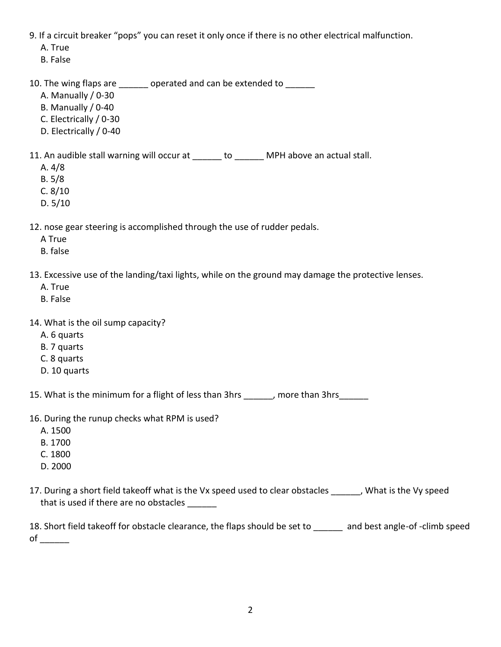9. If a circuit breaker "pops" you can reset it only once if there is no other electrical malfunction.

A. True

B. False

10. The wing flaps are \_\_\_\_\_\_ operated and can be extended to \_\_\_\_\_\_

A. Manually / 0-30

B. Manually / 0-40

- C. Electrically / 0-30
- D. Electrically / 0-40

11. An audible stall warning will occur at \_\_\_\_\_\_ to \_\_\_\_\_\_ MPH above an actual stall.

- A. 4/8
- B. 5/8
- C. 8/10
- D. 5/10

12. nose gear steering is accomplished through the use of rudder pedals.

- A True
- B. false

13. Excessive use of the landing/taxi lights, while on the ground may damage the protective lenses.

- A. True
- B. False
- 14. What is the oil sump capacity?
	- A. 6 quarts
	- B. 7 quarts
	- C. 8 quarts
	- D. 10 quarts

15. What is the minimum for a flight of less than 3hrs \_\_\_\_\_\_, more than 3hrs \_\_\_\_\_

- 16. During the runup checks what RPM is used?
	- A. 1500
	- B. 1700
	- C. 1800
	- D. 2000
- 17. During a short field takeoff what is the Vx speed used to clear obstacles \_\_\_\_\_\_, What is the Vy speed that is used if there are no obstacles

18. Short field takeoff for obstacle clearance, the flaps should be set to and best angle-of -climb speed of  $\_\_$